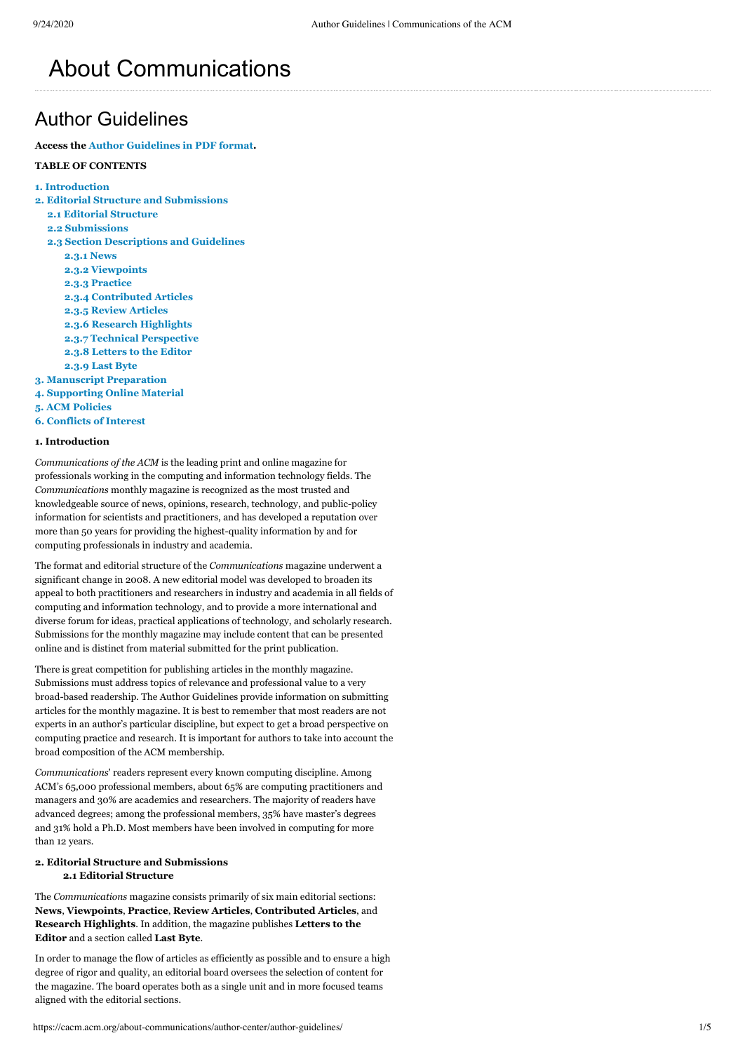# About Communications

# Author Guidelines

**Access the [Author Guidelines in PDF format.](https://cacm.acm.org/system/assets/0003/8015/082520_Author_Guidelines_CACM.pdf)**

# **TABLE OF CONTENTS**

- **[1. Introduction](#page-0-0)**
- **[2. Editorial Structure and Submissions](#page-0-1)**
	- **[2.1 Editorial Structure](#page-0-2)**
	- **[2.2 Submissions](#page-1-0)**
	- **[2.3 Section Descriptions and Guidelines](#page-1-1)**
		- **[2.3.1 News](#page-1-2)**
		- **[2.3.2 Viewpoints](#page-1-3) [2.3.3 Practice](#page-1-4)**
		- **[2.3.4 Contributed Articles](#page-1-5)**
		- **[2.3.5 Review Articles](#page-2-0)**
		- **[2.3.6 Research Highlights](#page-2-1)**
		- **[2.3.7 Technical Perspective](#page-2-2)**
		- **[2.3.8 Letters to the Editor](#page-3-0)**
		- **[2.3.9 Last Byte](#page-3-1)**
- **[3. Manuscript Preparation](#page-3-2)**
- **[4. Supporting Online Material](#page-3-3)**
- **[5. ACM Policies](#page-4-0)**
- **[6. Conflicts of Interest](#page-4-1)**

# <span id="page-0-0"></span>**1. Introduction**

*Communications of the ACM* is the leading print and online magazine for professionals working in the computing and information technology fields. The *Communications* monthly magazine is recognized as the most trusted and knowledgeable source of news, opinions, research, technology, and public-policy information for scientists and practitioners, and has developed a reputation over more than 50 years for providing the highest-quality information by and for computing professionals in industry and academia.

The format and editorial structure of the *Communications* magazine underwent a significant change in 2008. A new editorial model was developed to broaden its appeal to both practitioners and researchers in industry and academia in all fields of computing and information technology, and to provide a more international and diverse forum for ideas, practical applications of technology, and scholarly research. Submissions for the monthly magazine may include content that can be presented online and is distinct from material submitted for the print publication.

There is great competition for publishing articles in the monthly magazine. Submissions must address topics of relevance and professional value to a very broad-based readership. The Author Guidelines provide information on submitting articles for the monthly magazine. It is best to remember that most readers are not experts in an author's particular discipline, but expect to get a broad perspective on computing practice and research. It is important for authors to take into account the broad composition of the ACM membership.

*Communications*' readers represent every known computing discipline. Among ACM's 65,000 professional members, about 65% are computing practitioners and managers and 30% are academics and researchers. The majority of readers have advanced degrees; among the professional members, 35% have master's degrees and 31% hold a Ph.D. Most members have been involved in computing for more than 12 years.

# <span id="page-0-1"></span>**2. Editorial Structure and Submissions**

# <span id="page-0-2"></span>**2.1 Editorial Structure**

The *Communications* magazine consists primarily of six main editorial sections: **News**, **Viewpoints**, **Practice**, **Review Articles**, **Contributed Articles**, and **Research Highlights**. In addition, the magazine publishes **Letters to the Editor** and a section called **Last Byte**.

In order to manage the flow of articles as efficiently as possible and to ensure a high degree of rigor and quality, an editorial board oversees the selection of content for the magazine. The board operates both as a single unit and in more focused teams aligned with the editorial sections.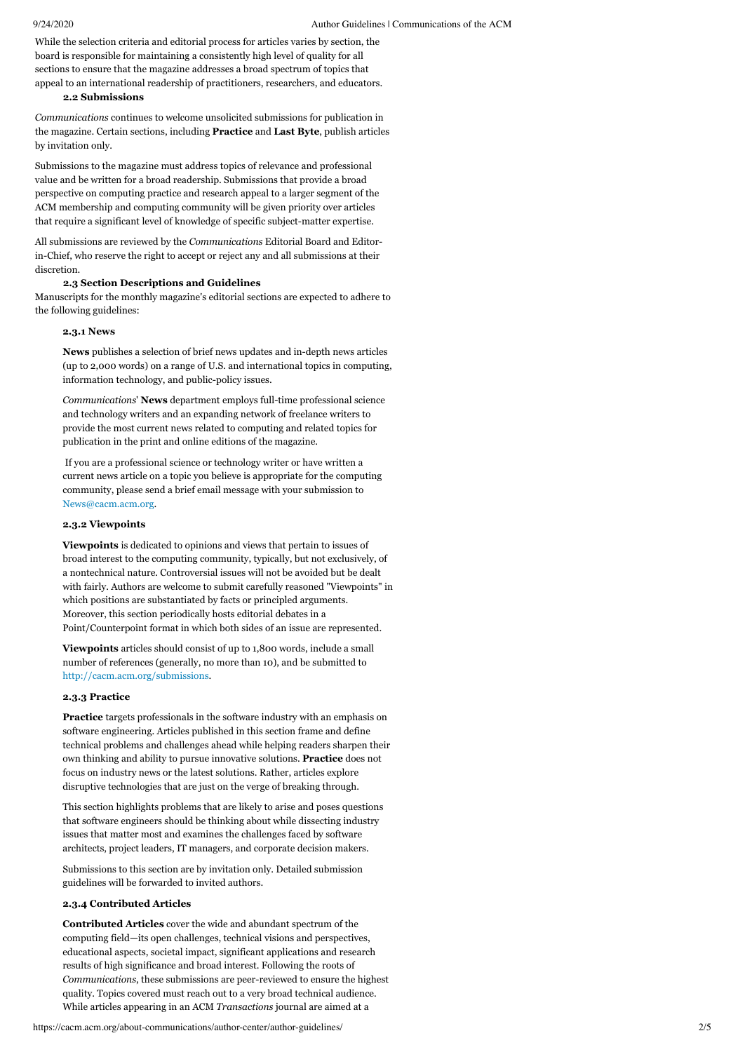While the selection criteria and editorial process for articles varies by section, the board is responsible for maintaining a consistently high level of quality for all sections to ensure that the magazine addresses a broad spectrum of topics that appeal to an international readership of practitioners, researchers, and educators.

#### <span id="page-1-0"></span>**2.2 Submissions**

*Communications* continues to welcome unsolicited submissions for publication in the magazine. Certain sections, including **Practice** and **Last Byte**, publish articles by invitation only.

Submissions to the magazine must address topics of relevance and professional value and be written for a broad readership. Submissions that provide a broad perspective on computing practice and research appeal to a larger segment of the ACM membership and computing community will be given priority over articles that require a significant level of knowledge of specific subject-matter expertise.

All submissions are reviewed by the *Communications* Editorial Board and Editorin-Chief, who reserve the right to accept or reject any and all submissions at their discretion.

#### <span id="page-1-1"></span>**2.3 Section Descriptions and Guidelines**

Manuscripts for the monthly magazine's editorial sections are expected to adhere to the following guidelines:

#### <span id="page-1-2"></span>**2.3.1 News**

**News** publishes a selection of brief news updates and in-depth news articles (up to 2,000 words) on a range of U.S. and international topics in computing, information technology, and public-policy issues.

*Communications*' **News** department employs full-time professional science and technology writers and an expanding network of freelance writers to provide the most current news related to computing and related topics for publication in the print and online editions of the magazine.

 If you are a professional science or technology writer or have written a current news article on a topic you believe is appropriate for the computing community, please send a brief email message with your submission to [News@cacm.acm.org](javascript:location.href=).

#### <span id="page-1-3"></span>**2.3.2 Viewpoints**

**Viewpoints** is dedicated to opinions and views that pertain to issues of broad interest to the computing community, typically, but not exclusively, of a nontechnical nature. Controversial issues will not be avoided but be dealt with fairly. Authors are welcome to submit carefully reasoned "Viewpoints" in which positions are substantiated by facts or principled arguments. Moreover, this section periodically hosts editorial debates in a Point/Counterpoint format in which both sides of an issue are represented.

**Viewpoints** articles should consist of up to 1,800 words, include a small number of references (generally, no more than 10), and be submitted to [http://cacm.acm.org/submissions.](https://cacm.acm.org/submissions)

# <span id="page-1-4"></span>**2.3.3 Practice**

**Practice** targets professionals in the software industry with an emphasis on software engineering. Articles published in this section frame and define technical problems and challenges ahead while helping readers sharpen their own thinking and ability to pursue innovative solutions. **Practice** does not focus on industry news or the latest solutions. Rather, articles explore disruptive technologies that are just on the verge of breaking through.

This section highlights problems that are likely to arise and poses questions that software engineers should be thinking about while dissecting industry issues that matter most and examines the challenges faced by software architects, project leaders, IT managers, and corporate decision makers.

Submissions to this section are by invitation only. Detailed submission guidelines will be forwarded to invited authors.

# <span id="page-1-5"></span>**2.3.4 Contributed Articles**

**Contributed Articles** cover the wide and abundant spectrum of the computing field—its open challenges, technical visions and perspectives, educational aspects, societal impact, significant applications and research results of high significance and broad interest. Following the roots of *Communications*, these submissions are peer-reviewed to ensure the highest quality. Topics covered must reach out to a very broad technical audience. While articles appearing in an ACM *Transactions* journal are aimed at a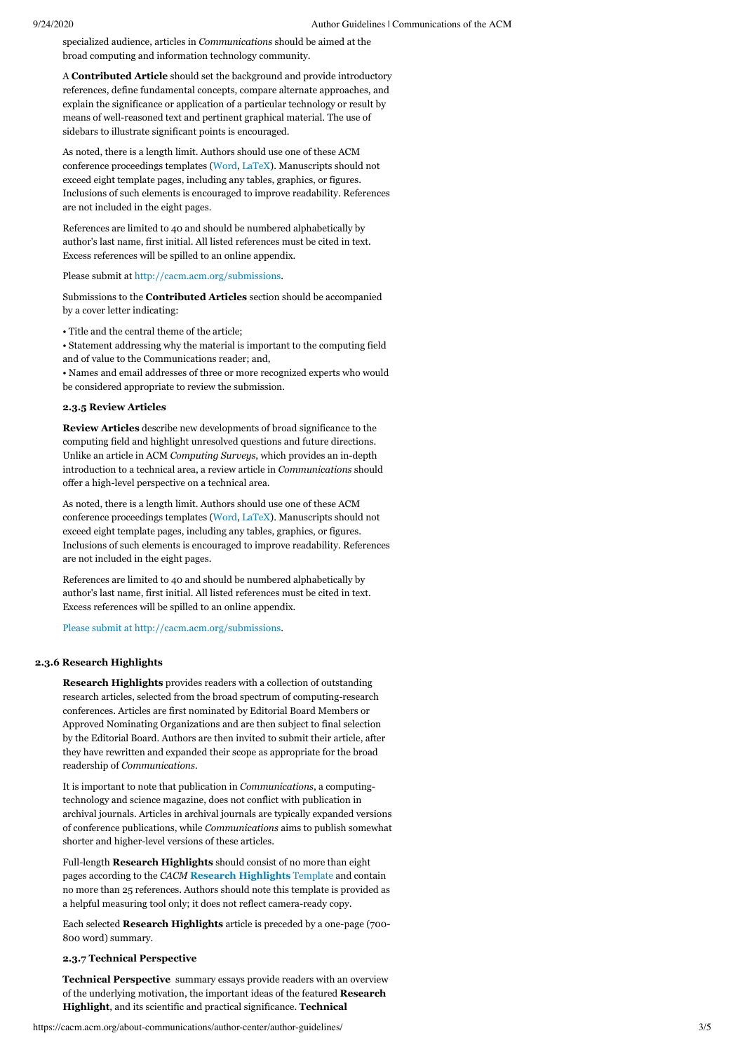specialized audience, articles in *Communications* should be aimed at the broad computing and information technology community.

A **Contributed Article** should set the background and provide introductory references, define fundamental concepts, compare alternate approaches, and explain the significance or application of a particular technology or result by means of well-reasoned text and pertinent graphical material. The use of sidebars to illustrate significant points is encouraged.

As noted, there is a length limit. Authors should use one of these ACM conference proceedings templates [\(Word](https://www.acm.org/binaries/content/assets/publications/word_style/interim-template-style/interim-layout.docx), [LaTeX\)](https://www.acm.org/binaries/content/assets/publications/consolidated-tex-template/acmart-primary.zip). Manuscripts should not exceed eight template pages, including any tables, graphics, or figures. Inclusions of such elements is encouraged to improve readability. References are not included in the eight pages.

References are limited to 40 and should be numbered alphabetically by author's last name, first initial. All listed references must be cited in text. Excess references will be spilled to an online appendix.

Please submit at [http://cacm.acm.org/submissions.](https://cacm.acm.org/submissions)

Submissions to the **Contributed Articles** section should be accompanied by a cover letter indicating:

• Title and the central theme of the article;

• Statement addressing why the material is important to the computing field and of value to the Communications reader; and,

• Names and email addresses of three or more recognized experts who would be considered appropriate to review the submission.

# <span id="page-2-0"></span>**2.3.5 Review Articles**

**Review Articles** describe new developments of broad significance to the computing field and highlight unresolved questions and future directions. Unlike an article in ACM *Computing Surveys*, which provides an in-depth introduction to a technical area, a review article in *Communications* should offer a high-level perspective on a technical area.

As noted, there is a length limit. Authors should use one of these ACM conference proceedings templates [\(Word](https://www.acm.org/binaries/content/assets/publications/word_style/interim-template-style/interim-layout.docx), [LaTeX\)](https://www.acm.org/binaries/content/assets/publications/consolidated-tex-template/acmart-master.zip). Manuscripts should not exceed eight template pages, including any tables, graphics, or figures. Inclusions of such elements is encouraged to improve readability. References are not included in the eight pages.

References are limited to 40 and should be numbered alphabetically by author's last name, first initial. All listed references must be cited in text. Excess references will be spilled to an online appendix.

[Please submit at](https://www.acm.org/binaries/content/assets/publications/consolidated-tex-template/acmart-master.zip%3ELaTeX%3C/a%3E).%20Manuscripts%20should%20not%20exceed%20eight%20template%20pages,%20including%20any%20tables,%20graphics,%20or%20figures.%20Inclusions%20of%20such%20elements%20is%20encouraged%20to%20improve%20readability.%20References%20are%20not%20included%20in%20the%20eight%20pages.%3C/p%3E%3Cp%20style=) [http://cacm.acm.org/submissions.](https://cacm.acm.org/submissions)

#### <span id="page-2-1"></span>**2.3.6 Research Highlights**

**Research Highlights** provides readers with a collection of outstanding research articles, selected from the broad spectrum of computing-research conferences. Articles are first nominated by Editorial Board Members or Approved Nominating Organizations and are then subject to final selection by the Editorial Board. Authors are then invited to submit their article, after they have rewritten and expanded their scope as appropriate for the broad readership of *Communications*.

It is important to note that publication in *Communications*, a computingtechnology and science magazine, does not conflict with publication in archival journals. Articles in archival journals are typically expanded versions of conference publications, while *Communications* aims to publish somewhat shorter and higher-level versions of these articles.

Full-length **Research Highlights** should consist of no more than eight pages according to the *CACM* **[Research Highlights](https://cacm.acm.org/about-communications/author-center/author-guidelines/research-highlights-template/)** Template and contain no more than 25 references. Authors should note this template is provided as a helpful measuring tool only; it does not reflect camera-ready copy.

Each selected **Research Highlights** article is preceded by a one-page (700- 800 word) summary.

#### <span id="page-2-2"></span>**2.3.7 Technical Perspective**

**Technical Perspective** summary essays provide readers with an overview of the underlying motivation, the important ideas of the featured **Research Highlight**, and its scientific and practical significance. **Technical**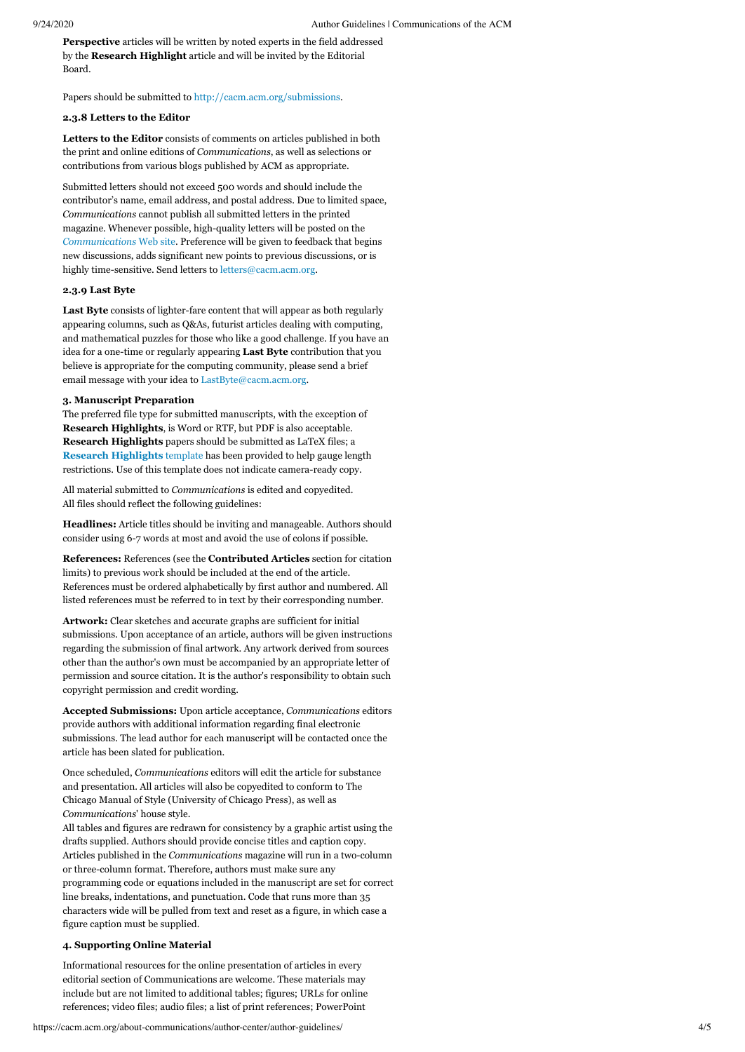**Perspective** articles will be written by noted experts in the field addressed by the **Research Highlight** article and will be invited by the Editorial Board.

Papers should be submitted to [http://cacm.acm.org/submissions](https://cacm.acm.org/submissions).

# <span id="page-3-0"></span>**2.3.8 Letters to the Editor**

**Letters to the Editor** consists of comments on articles published in both the print and online editions of *Communications*, as well as selections or contributions from various blogs published by ACM as appropriate.

Submitted letters should not exceed 500 words and should include the contributor's name, email address, and postal address. Due to limited space, *Communications* cannot publish all submitted letters in the printed magazine. Whenever possible, high-quality letters will be posted on the *[Communications](https://cacm.acm.org/)* Web site. Preference will be given to feedback that begins new discussions, adds significant new points to previous discussions, or is highly time-sensitive. Send letters to [letters@cacm.acm.org.](javascript:location.href=)

#### <span id="page-3-1"></span>**2.3.9 Last Byte**

**Last Byte** consists of lighter-fare content that will appear as both regularly appearing columns, such as Q&As, futurist articles dealing with computing, and mathematical puzzles for those who like a good challenge. If you have an idea for a one-time or regularly appearing **Last Byte** contribution that you believe is appropriate for the computing community, please send a brief email message with your idea to [LastByte@cacm.acm.org.](javascript:location.href=)

# <span id="page-3-2"></span>**3. Manuscript Preparation**

The preferred file type for submitted manuscripts, with the exception of **Research Highlights**, is Word or RTF, but PDF is also acceptable. **Research Highlights** papers should be submitted as LaTeX files; a **[Research Highlights](https://cacm.acm.org/about-communications/author-center/author-guidelines/research-highlights-template/)** template has been provided to help gauge length restrictions. Use of this template does not indicate camera-ready copy.

All material submitted to *Communications* is edited and copyedited. All files should reflect the following guidelines:

**Headlines:** Article titles should be inviting and manageable. Authors should consider using 6-7 words at most and avoid the use of colons if possible.

**References:** References (see the **Contributed Articles** section for citation limits) to previous work should be included at the end of the article. References must be ordered alphabetically by first author and numbered. All listed references must be referred to in text by their corresponding number.

**Artwork:** Clear sketches and accurate graphs are sufficient for initial submissions. Upon acceptance of an article, authors will be given instructions regarding the submission of final artwork. Any artwork derived from sources other than the author's own must be accompanied by an appropriate letter of permission and source citation. It is the author's responsibility to obtain such copyright permission and credit wording.

**Accepted Submissions:** Upon article acceptance, *Communications* editors provide authors with additional information regarding final electronic submissions. The lead author for each manuscript will be contacted once the article has been slated for publication.

Once scheduled, *Communications* editors will edit the article for substance and presentation. All articles will also be copyedited to conform to The Chicago Manual of Style (University of Chicago Press), as well as *Communications*' house style.

All tables and figures are redrawn for consistency by a graphic artist using the drafts supplied. Authors should provide concise titles and caption copy. Articles published in the *Communications* magazine will run in a two-column or three-column format. Therefore, authors must make sure any programming code or equations included in the manuscript are set for correct line breaks, indentations, and punctuation. Code that runs more than 35 characters wide will be pulled from text and reset as a figure, in which case a figure caption must be supplied.

#### <span id="page-3-3"></span>**4. Supporting Online Material**

Informational resources for the online presentation of articles in every editorial section of Communications are welcome. These materials may include but are not limited to additional tables; figures; URLs for online references; video files; audio files; a list of print references; PowerPoint